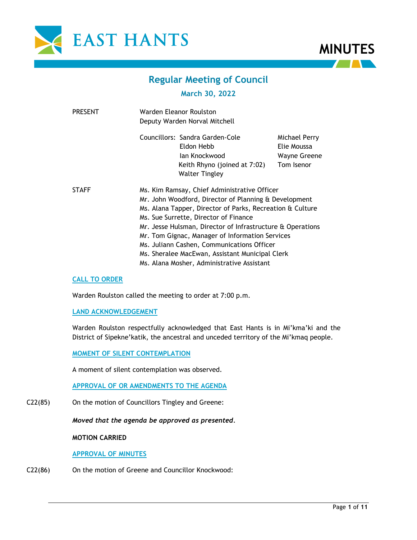



# **Regular Meeting of Council**

# **March 30, 2022**

| <b>PRESENT</b> | Warden Eleanor Roulston<br>Deputy Warden Norval Mitchell                                                                                                                                                                                                                                |                                                                                                                                                                                  |  |
|----------------|-----------------------------------------------------------------------------------------------------------------------------------------------------------------------------------------------------------------------------------------------------------------------------------------|----------------------------------------------------------------------------------------------------------------------------------------------------------------------------------|--|
|                | Councillors: Sandra Garden-Cole<br>Eldon Hebb<br>lan Knockwood<br>Keith Rhyno (joined at 7:02)<br><b>Walter Tingley</b>                                                                                                                                                                 | Michael Perry<br>Elie Moussa<br><b>Wayne Greene</b><br>Tom Isenor                                                                                                                |  |
| <b>STAFF</b>   | Ms. Kim Ramsay, Chief Administrative Officer<br>Ms. Sue Surrette, Director of Finance<br>Mr. Tom Gignac, Manager of Information Services<br>Ms. Juliann Cashen, Communications Officer<br>Ms. Sheralee MacEwan, Assistant Municipal Clerk<br>Ms. Alana Mosher, Administrative Assistant | Mr. John Woodford, Director of Planning & Development<br>Ms. Alana Tapper, Director of Parks, Recreation & Culture<br>Mr. Jesse Hulsman, Director of Infrastructure & Operations |  |

## **CALL TO ORDER**

Warden Roulston called the meeting to order at 7:00 p.m.

## **LAND ACKNOWLEDGEMENT**

Warden Roulston respectfully acknowledged that East Hants is in Mi'kma'ki and the District of Sipekne'katik, the ancestral and unceded territory of the Mi'kmaq people.

**MOMENT OF SILENT CONTEMPLATION**

A moment of silent contemplation was observed.

**APPROVAL OF OR AMENDMENTS TO THE AGENDA**

C22(85) On the motion of Councillors Tingley and Greene:

*Moved that the agenda be approved as presented.*

#### **MOTION CARRIED**

#### **APPROVAL OF MINUTES**

C22(86) On the motion of Greene and Councillor Knockwood: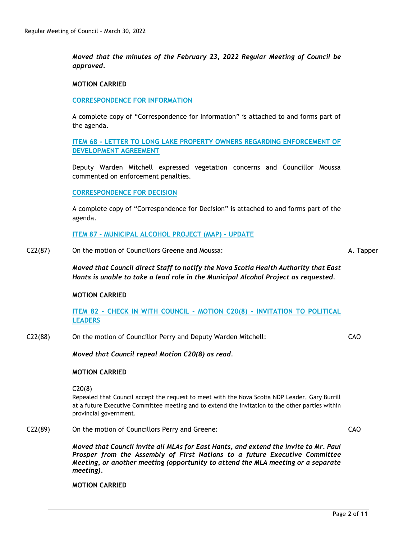*Moved that the minutes of the February 23, 2022 Regular Meeting of Council be approved.* 

#### **MOTION CARRIED**

#### **CORRESPONDENCE FOR INFORMATION**

A complete copy of "Correspondence for Information" is attached to and forms part of the agenda.

**ITEM 68 - LETTER TO LONG LAKE PROPERTY OWNERS REGARDING ENFORCEMENT OF DEVELOPMENT AGREEMENT**

Deputy Warden Mitchell expressed vegetation concerns and Councillor Moussa commented on enforcement penalties.

#### **CORRESPONDENCE FOR DECISION**

A complete copy of "Correspondence for Decision" is attached to and forms part of the agenda.

**ITEM 87 - MUNICIPAL ALCOHOL PROJECT (MAP) - UPDATE**

C22(87) On the motion of Councillors Greene and Moussa:

A. Tapper

*Moved that Council direct Staff to notify the Nova Scotia Health Authority that East Hants is unable to take a lead role in the Municipal Alcohol Project as requested.*

#### **MOTION CARRIED**

**ITEM 82 - CHECK IN WITH COUNCIL - MOTION C20(8) – INVITATION TO POLITICAL LEADERS**

C22(88) On the motion of Councillor Perry and Deputy Warden Mitchell:

CAO

CAO

*Moved that Council repeal Motion C20(8) as read.*

#### **MOTION CARRIED**

C20(8)

Repealed that Council accept the request to meet with the Nova Scotia NDP Leader, Gary Burrill at a future Executive Committee meeting and to extend the invitation to the other parties within provincial government.

C22(89) On the motion of Councillors Perry and Greene:

*Moved that Council invite all MLAs for East Hants, and extend the invite to Mr. Paul Prosper from the Assembly of First Nations to a future Executive Committee Meeting, or another meeting (opportunity to attend the MLA meeting or a separate meeting).*

**MOTION CARRIED**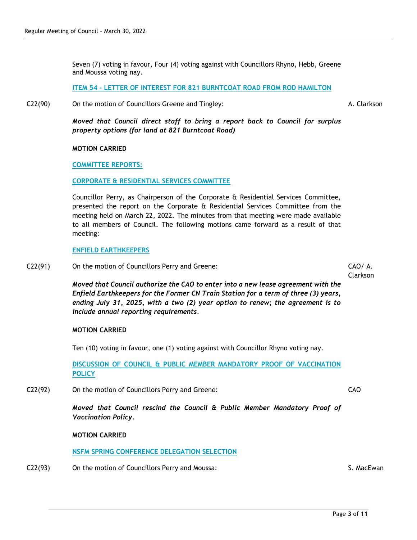Seven (7) voting in favour, Four (4) voting against with Councillors Rhyno, Hebb, Greene and Moussa voting nay.

**ITEM 54 - LETTER OF INTEREST FOR 821 BURNTCOAT ROAD FROM ROD HAMILTON**

C22(90) On the motion of Councillors Greene and Tingley:

A. Clarkson

*Moved that Council direct staff to bring a report back to Council for surplus property options (for land at 821 Burntcoat Road)*

#### **MOTION CARRIED**

**COMMITTEE REPORTS:**

**CORPORATE & RESIDENTIAL SERVICES COMMITTEE**

Councillor Perry, as Chairperson of the Corporate & Residential Services Committee, presented the report on the Corporate & Residential Services Committee from the meeting held on March 22, 2022. The minutes from that meeting were made available to all members of Council. The following motions came forward as a result of that meeting:

#### **ENFIELD EARTHKEEPERS**

C22(91) On the motion of Councillors Perry and Greene:

CAO/ A. Clarkson

*Moved that Council authorize the CAO to enter into a new lease agreement with the Enfield Earthkeepers for the Former CN Train Station for a term of three (3) years, ending July 31, 2025, with a two (2) year option to renew; the agreement is to include annual reporting requirements.*

## **MOTION CARRIED**

Ten (10) voting in favour, one (1) voting against with Councillor Rhyno voting nay.

**DISCUSSION OF COUNCIL & PUBLIC MEMBER MANDATORY PROOF OF VACCINATION POLICY**

C22(92) On the motion of Councillors Perry and Greene:

*Moved that Council rescind the Council & Public Member Mandatory Proof of Vaccination Policy.*

## **MOTION CARRIED**

**NSFM SPRING CONFERENCE DELEGATION SELECTION**

C22(93) On the motion of Councillors Perry and Moussa: S. MacEwan S. MacEwan

CAO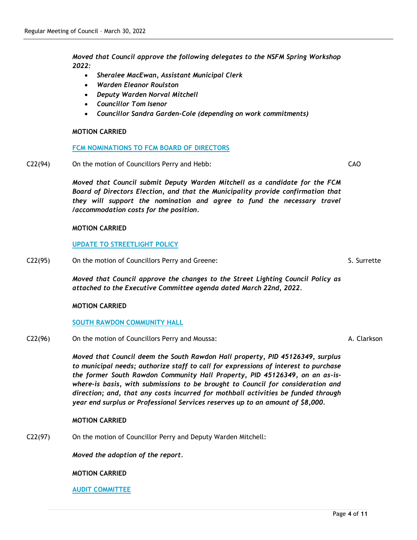*Moved that Council approve the following delegates to the NSFM Spring Workshop 2022:*

- *Sheralee MacEwan, Assistant Municipal Clerk*
- *Warden Eleanor Roulston*
- *Deputy Warden Norval Mitchell*
- *Councillor Tom Isenor*
- *Councillor Sandra Garden-Cole (depending on work commitments)*

#### **MOTION CARRIED**

#### **FCM NOMINATIONS TO FCM BOARD OF DIRECTORS**

C22(94) On the motion of Councillors Perry and Hebb:

*Moved that Council submit Deputy Warden Mitchell as a candidate for the FCM Board of Directors Election, and that the Municipality provide confirmation that they will support the nomination and agree to fund the necessary travel /accommodation costs for the position.*

#### **MOTION CARRIED**

# **UPDATE TO STREETLIGHT POLICY**

C22(95) On the motion of Councillors Perry and Greene:

*Moved that Council approve the changes to the Street Lighting Council Policy as attached to the Executive Committee agenda dated March 22nd, 2022.*

## **MOTION CARRIED**

## **SOUTH RAWDON COMMUNITY HALL**

C22(96) On the motion of Councillors Perry and Moussa:

*Moved that Council deem the South Rawdon Hall property, PID 45126349, surplus to municipal needs; authorize staff to call for expressions of interest to purchase the former South Rawdon Community Hall Property, PID 45126349, on an as-iswhere-is basis, with submissions to be brought to Council for consideration and direction; and, that any costs incurred for mothball activities be funded through year end surplus or Professional Services reserves up to an amount of \$8,000.*

## **MOTION CARRIED**

C22(97) On the motion of Councillor Perry and Deputy Warden Mitchell:

*Moved the adoption of the report.*

#### **MOTION CARRIED**

#### **AUDIT COMMITTEE**

S. Surrette

A. Clarkson

CAO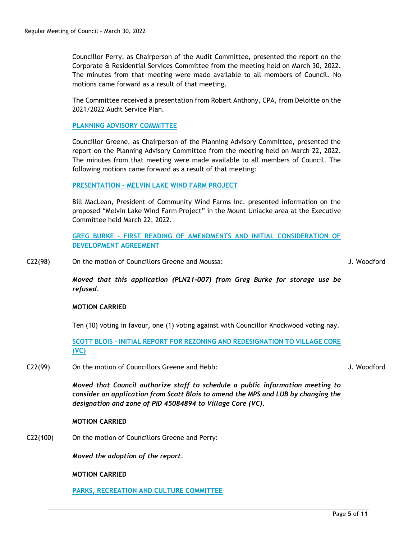Councillor Perry, as Chairperson of the Audit Committee, presented the report on the Corporate & Residential Services Committee from the meeting held on March 30, 2022. The minutes from that meeting were made available to all members of Council. No motions came forward as a result of that meeting.

The Committee received a presentation from Robert Anthony, CPA, from Deloitte on the 2021/2022 Audit Service Plan.

## **PLANNING ADVISORY COMMITTEE**

Councillor Greene, as Chairperson of the Planning Advisory Committee, presented the report on the Planning Advisory Committee from the meeting held on March 22, 2022. The minutes from that meeting were made available to all members of Council. The following motions came forward as a result of that meeting:

## **PRESENTATION - MELVIN LAKE WIND FARM PROJECT**

Bill MacLean, President of Community Wind Farms Inc. presented information on the proposed "Melvin Lake Wind Farm Project" in the Mount Uniacke area at the Executive Committee held March 22, 2022.

**GREG BURKE - FIRST READING OF AMENDMENTS AND INITIAL CONSIDERATION OF DEVELOPMENT AGREEMENT**

C22(98) On the motion of Councillors Greene and Moussa:

J. Woodford

*Moved that this application (PLN21-007) from Greg Burke for storage use be refused.*

## **MOTION CARRIED**

Ten (10) voting in favour, one (1) voting against with Councillor Knockwood voting nay.

**SCOTT BLOIS - INITIAL REPORT FOR REZONING AND REDESIGNATION TO VILLAGE CORE (VC)**

C22(99) On the motion of Councillors Greene and Hebb:

J. Woodford

*Moved that Council authorize staff to schedule a public information meeting to consider an application from Scott Blois to amend the MPS and LUB by changing the designation and zone of PID 45084894 to Village Core (VC).*

## **MOTION CARRIED**

C22(100) On the motion of Councillors Greene and Perry:

*Moved the adoption of the report.*

**MOTION CARRIED**

**PARKS, RECREATION AND CULTURE COMMITTEE**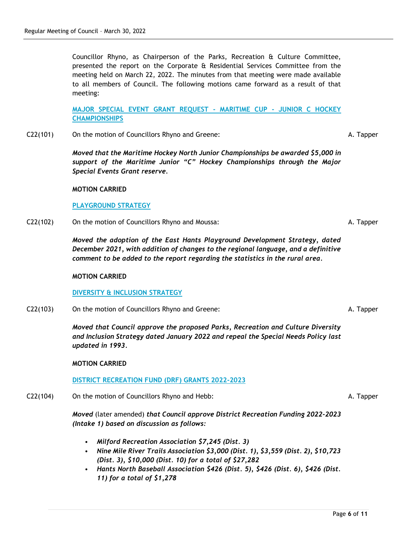Councillor Rhyno, as Chairperson of the Parks, Recreation & Culture Committee, presented the report on the Corporate & Residential Services Committee from the meeting held on March 22, 2022. The minutes from that meeting were made available to all members of Council. The following motions came forward as a result of that meeting:

**MAJOR SPECIAL EVENT GRANT REQUEST - MARITIME CUP - JUNIOR C HOCKEY CHAMPIONSHIPS**

C22(101) On the motion of Councillors Rhyno and Greene:

*Moved that the Maritime Hockey North Junior Championships be awarded \$5,000 in support of the Maritime Junior "C" Hockey Championships through the Major Special Events Grant reserve.*

## **MOTION CARRIED**

# **PLAYGROUND STRATEGY**

C22(102) On the motion of Councillors Rhyno and Moussa:

*Moved the adoption of the East Hants Playground Development Strategy, dated December 2021, with addition of changes to the regional language, and a definitive comment to be added to the report regarding the statistics in the rural area.*

## **MOTION CARRIED**

## **DIVERSITY & INCLUSION STRATEGY**

C22(103) On the motion of Councillors Rhyno and Greene:

*Moved that Council approve the proposed Parks, Recreation and Culture Diversity and Inclusion Strategy dated January 2022 and repeal the Special Needs Policy last updated in 1993.*

## **MOTION CARRIED**

## **DISTRICT RECREATION FUND (DRF) GRANTS 2022-2023**

C22(104) On the motion of Councillors Rhyno and Hebb:

*Moved* (later amended) *that Council approve District Recreation Funding 2022-2023 (Intake 1) based on discussion as follows:*

- *Milford Recreation Association \$7,245 (Dist. 3)*
- *Nine Mile River Trails Association \$3,000 (Dist. 1), \$3,559 (Dist. 2), \$10,723 (Dist. 3), \$10,000 (Dist. 10) for a total of \$27,282*
- *Hants North Baseball Association \$426 (Dist. 5), \$426 (Dist. 6), \$426 (Dist. 11) for a total of \$1,278*

A. Tapper

A. Tapper

A. Tapper

A. Tapper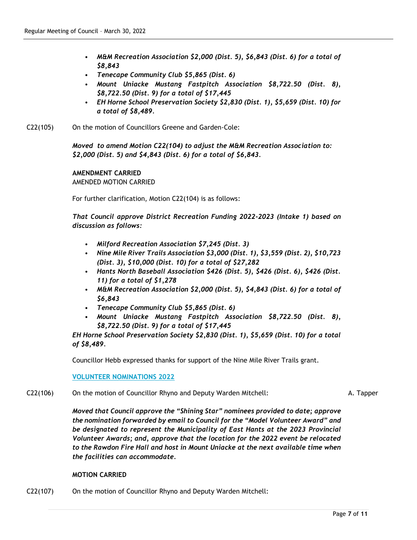- *M&M Recreation Association \$2,000 (Dist. 5), \$6,843 (Dist. 6) for a total of \$8,843*
- *Tenecape Community Club \$5,865 (Dist. 6)*
- *Mount Uniacke Mustang Fastpitch Association \$8,722.50 (Dist. 8), \$8,722.50 (Dist. 9) for a total of \$17,445*
- *EH Horne School Preservation Society \$2,830 (Dist. 1), \$5,659 (Dist. 10) for a total of \$8,489.*
- C22(105) On the motion of Councillors Greene and Garden-Cole:

*Moved to amend Motion C22(104) to adjust the M&M Recreation Association to: \$2,000 (Dist. 5) and \$4,843 (Dist. 6) for a total of \$6,843.* 

# **AMENDMENT CARRIED** AMENDED MOTION CARRIED

For further clarification, Motion C22(104) is as follows:

*That Council approve District Recreation Funding 2022-2023 (Intake 1) based on discussion as follows:*

- *Milford Recreation Association \$7,245 (Dist. 3)*
- *Nine Mile River Trails Association \$3,000 (Dist. 1), \$3,559 (Dist. 2), \$10,723 (Dist. 3), \$10,000 (Dist. 10) for a total of \$27,282*
- *Hants North Baseball Association \$426 (Dist. 5), \$426 (Dist. 6), \$426 (Dist. 11) for a total of \$1,278*
- *M&M Recreation Association \$2,000 (Dist. 5), \$4,843 (Dist. 6) for a total of \$6,843*
- *Tenecape Community Club \$5,865 (Dist. 6)*
- *Mount Uniacke Mustang Fastpitch Association \$8,722.50 (Dist. 8), \$8,722.50 (Dist. 9) for a total of \$17,445*

*EH Horne School Preservation Society \$2,830 (Dist. 1), \$5,659 (Dist. 10) for a total of \$8,489.*

Councillor Hebb expressed thanks for support of the Nine Mile River Trails grant.

**VOLUNTEER NOMINATIONS 2022**

## C22(106) On the motion of Councillor Rhyno and Deputy Warden Mitchell:

A. Tapper

*Moved that Council approve the "Shining Star" nominees provided to date; approve the nomination forwarded by email to Council for the "Model Volunteer Award" and be designated to represent the Municipality of East Hants at the 2023 Provincial Volunteer Awards; and, approve that the location for the 2022 event be relocated to the Rawdon Fire Hall and host in Mount Uniacke at the next available time when the facilities can accommodate.*

## **MOTION CARRIED**

C22(107) On the motion of Councillor Rhyno and Deputy Warden Mitchell: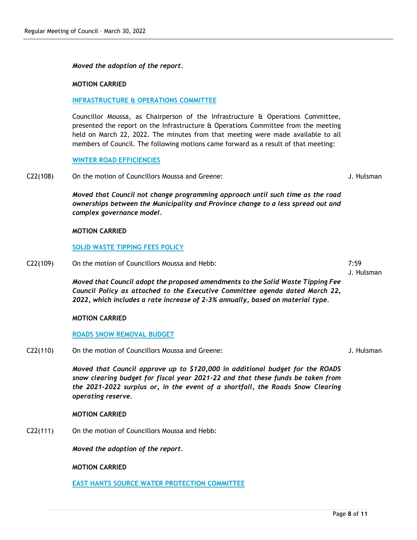#### *Moved the adoption of the report.*

#### **MOTION CARRIED**

#### **INFRASTRUCTURE & OPERATIONS COMMITTEE**

Councillor Moussa, as Chairperson of the Infrastructure & Operations Committee, presented the report on the Infrastructure & Operations Committee from the meeting held on March 22, 2022. The minutes from that meeting were made available to all members of Council. The following motions came forward as a result of that meeting:

#### **WINTER ROAD EFFICIENCIES**

C22(108) On the motion of Councillors Moussa and Greene:

*Moved that Council not change programming approach until such time as the road ownerships between the Municipality and Province change to a less spread out and complex governance model.*

#### **MOTION CARRIED**

#### **SOLID WASTE TIPPING FEES POLICY**

C22(109) On the motion of Councillors Moussa and Hebb:

*Moved that Council adopt the proposed amendments to the Solid Waste Tipping Fee Council Policy as attached to the Executive Committee agenda dated March 22, 2022, which includes a rate increase of 2-3% annually, based on material type.*

#### **MOTION CARRIED**

#### **ROADS SNOW REMOVAL BUDGET**

C22(110) On the motion of Councillors Moussa and Greene:

*Moved that Council approve up to \$120,000 in additional budget for the ROADS snow clearing budget for fiscal year 2021-22 and that these funds be taken from the 2021-2022 surplus or, in the event of a shortfall, the Roads Snow Clearing operating reserve.*

#### **MOTION CARRIED**

C22(111) On the motion of Councillors Moussa and Hebb:

*Moved the adoption of the report.*

**MOTION CARRIED**

**EAST HANTS SOURCE WATER PROTECTION COMMITTEE**

Page **8** of **11**

J. Hulsman

J. Hulsman

J. Hulsman

7:59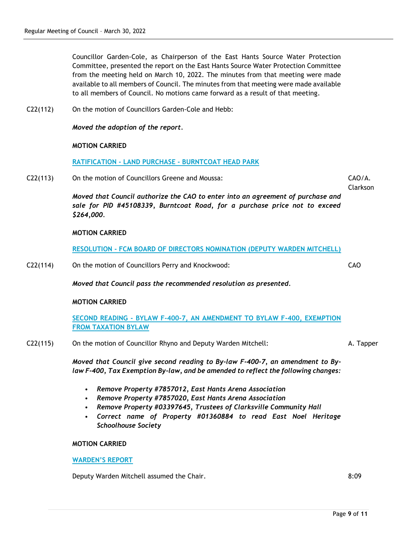Councillor Garden-Cole, as Chairperson of the East Hants Source Water Protection Committee, presented the report on the East Hants Source Water Protection Committee from the meeting held on March 10, 2022. The minutes from that meeting were made available to all members of Council. The minutes from that meeting were made available to all members of Council. No motions came forward as a result of that meeting.

C22(112) On the motion of Councillors Garden-Cole and Hebb:

*Moved the adoption of the report.*

#### **MOTION CARRIED**

#### **RATIFICATION - LAND PURCHASE - BURNTCOAT HEAD PARK**

C22(113) On the motion of Councillors Greene and Moussa:

*Moved that Council authorize the CAO to enter into an agreement of purchase and sale for PID #45108339, Burntcoat Road, for a purchase price not to exceed \$264,000.*

## **MOTION CARRIED**

**RESOLUTION - FCM BOARD OF DIRECTORS NOMINATION (DEPUTY WARDEN MITCHELL)**

C22(114) On the motion of Councillors Perry and Knockwood:

*Moved that Council pass the recommended resolution as presented.*

#### **MOTION CARRIED**

**SECOND READING - BYLAW F-400-7, AN AMENDMENT TO BYLAW F-400, EXEMPTION FROM TAXATION BYLAW**

C22(115) On the motion of Councillor Rhyno and Deputy Warden Mitchell:

*Moved that Council give second reading to By-law F-400-7, an amendment to Bylaw F-400, Tax Exemption By-law, and be amended to reflect the following changes:* 

- *Remove Property #7857012, East Hants Arena Association*
- *Remove Property #7857020, East Hants Arena Association*
- *Remove Property #03397645, Trustees of Clarksville Community Hall*
- *Correct name of Property #01360884 to read East Noel Heritage Schoolhouse Society*

#### **MOTION CARRIED**

**WARDEN'S REPORT**

Deputy Warden Mitchell assumed the Chair. **8:09** November 2014

CAO/A. Clarkson

CAO

A. Tapper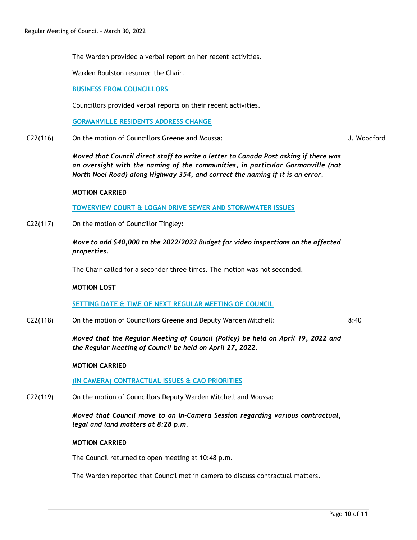The Warden provided a verbal report on her recent activities.

Warden Roulston resumed the Chair.

**BUSINESS FROM COUNCILLORS**

Councillors provided verbal reports on their recent activities.

**GORMANVILLE RESIDENTS ADDRESS CHANGE**

C22(116) On the motion of Councillors Greene and Moussa:

*Moved that Council direct staff to write a letter to Canada Post asking if there was an oversight with the naming of the communities, in particular Gormanville (not North Noel Road) along Highway 354, and correct the naming if it is an error.*

#### **MOTION CARRIED**

**TOWERVIEW COURT & LOGAN DRIVE SEWER AND STORMWATER ISSUES**

C22(117) On the motion of Councillor Tingley:

*Move to add \$40,000 to the 2022/2023 Budget for video inspections on the affected properties.*

The Chair called for a seconder three times. The motion was not seconded.

#### **MOTION LOST**

**SETTING DATE & TIME OF NEXT REGULAR MEETING OF COUNCIL**

C22(118) On the motion of Councillors Greene and Deputy Warden Mitchell: 8:40

> *Moved that the Regular Meeting of Council (Policy) be held on April 19, 2022 and the Regular Meeting of Council be held on April 27, 2022.*

#### **MOTION CARRIED**

**(IN CAMERA) CONTRACTUAL ISSUES & CAO PRIORITIES**

C22(119) On the motion of Councillors Deputy Warden Mitchell and Moussa:

*Moved that Council move to an In-Camera Session regarding various contractual, legal and land matters at 8:28 p.m.*

#### **MOTION CARRIED**

The Council returned to open meeting at 10:48 p.m.

The Warden reported that Council met in camera to discuss contractual matters.

J. Woodford